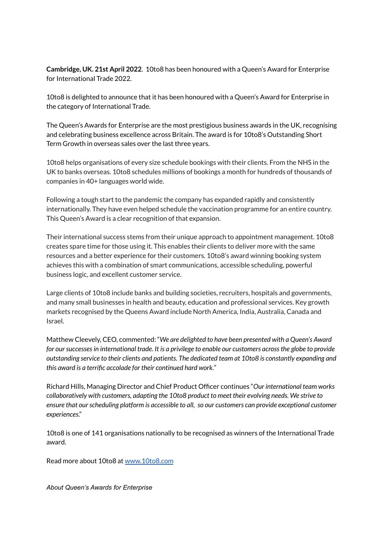**Cambridge, UK. 21st April 2022**. 10to8 has been honoured with a Queen's Award for Enterprise for International Trade 2022.

10to8 is delighted to announce that it has been honoured with a Queen's Award for Enterprise in the category of International Trade.

The Queen's Awards for Enterprise are the most prestigious business awards in the UK, recognising and celebrating business excellence across Britain. The award is for 10to8's Outstanding Short Term Growth in overseas sales over the last three years.

10to8 helps organisations of every size schedule bookings with their clients. From the NHS in the UK to banks overseas. 10to8 schedules millions of bookings a month for hundreds of thousands of companies in 40+ languages world wide.

Following a tough start to the pandemic the company has expanded rapidly and consistently internationally. They have even helped schedule the vaccination programme for an entire country. This Queen's Award is a clear recognition of that expansion.

Their international success stems from their unique approach to appointment management. 10to8 creates spare time for those using it. This enables their clients to deliver more with the same resources and a better experience for their customers. 10to8's award winning booking system achieves this with a combination of smart communications, accessible scheduling, powerful business logic, and excellent customer service.

Large clients of 10to8 include banks and building societies, recruiters, hospitals and governments, and many small businesses in health and beauty, education and professional services. Key growth markets recognised by the Queens Award include North America, India, Australia, Canada and Israel.

Matthew Cleevely, CEO, commented: "*We are delighted to have been presented with a Queen's Award for oursuccessesin international trade. It is a privilege to enable our customers acrossthe globe to provide outstanding service to their clients and patients. The dedicated team at 10to8 is constantly expanding and this award is a terrific accolade for their continued hard work.*"

Richard Hills, Managing Director and Chief Product Officer continues "*Our international team works collaboratively with customers, adapting the 10to8 product to meet their evolving needs. We strive to ensure that ourscheduling platform is accessible to all, so our customers can provide exceptional customer experiences*."

10to8 is one of 141 organisations nationally to be recognised as winners of the International Trade award.

Read more about 10to8 at [www.10to8.com](http://www.10to8.com)

*About Queen's Awards for Enterprise*